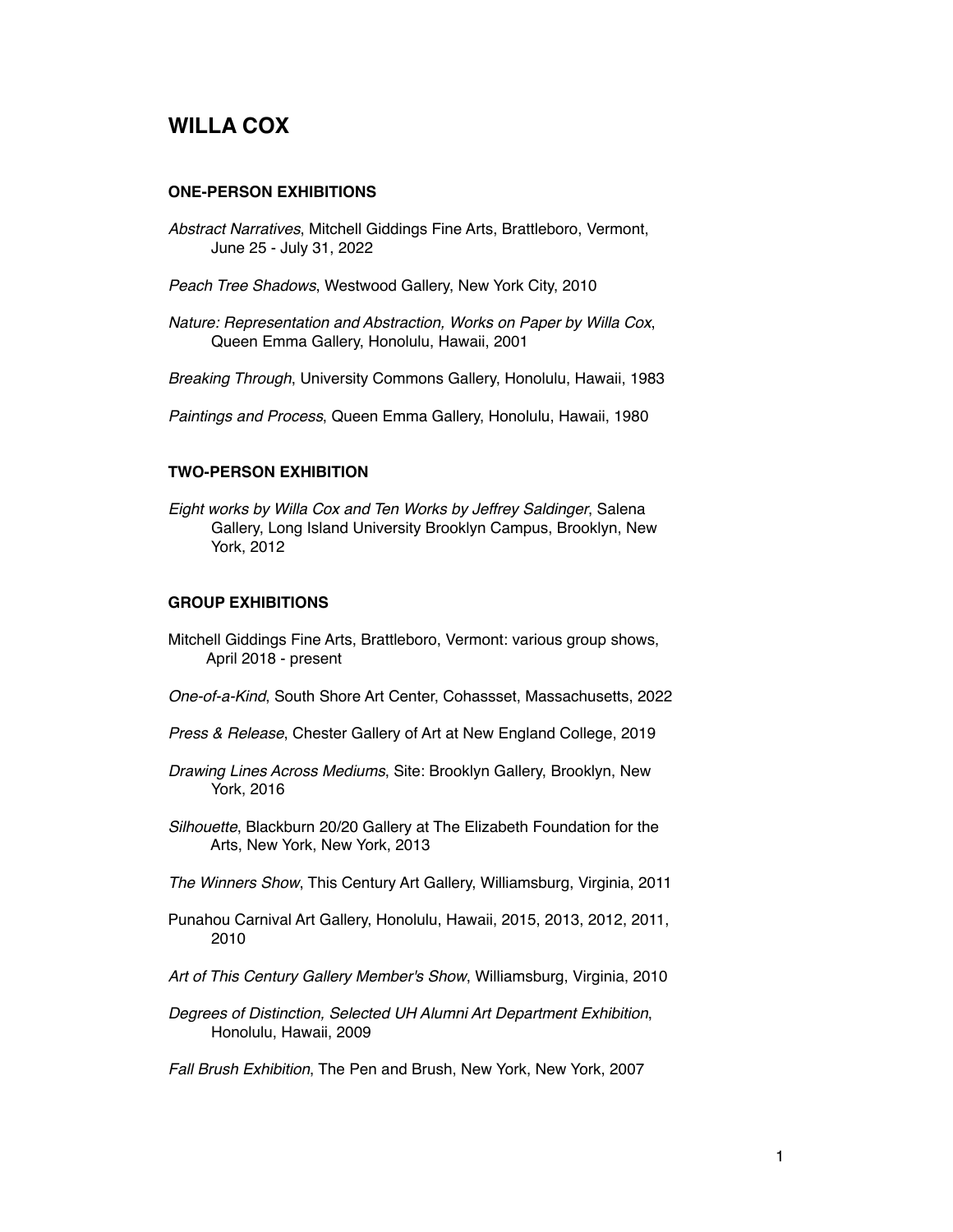# **WILLA COX**

#### **ONE-PERSON EXHIBITIONS**

- *Abstract Narratives*, Mitchell Giddings Fine Arts, Brattleboro, Vermont, June 25 - July 31, 2022
- *Peach Tree Shadows*, Westwood Gallery, New York City, 2010
- *Nature: Representation and Abstraction, Works on Paper by Willa Cox*, Queen Emma Gallery, Honolulu, Hawaii, 2001

*Breaking Through*, University Commons Gallery, Honolulu, Hawaii, 1983

*Paintings and Process*, Queen Emma Gallery, Honolulu, Hawaii, 1980

#### **TWO-PERSON EXHIBITION**

*Eight works by Willa Cox and Ten Works by Jeffrey Saldinger*, Salena Gallery, Long Island University Brooklyn Campus, Brooklyn, New York, 2012

#### **GROUP EXHIBITIONS**

- Mitchell Giddings Fine Arts, Brattleboro, Vermont: various group shows, April 2018 - present
- *One-of-a-Kind*, South Shore Art Center, Cohassset, Massachusetts, 2022
- *Press & Release*, Chester Gallery of Art at New England College, 2019
- *Drawing Lines Across Mediums*, Site: Brooklyn Gallery, Brooklyn, New York, 2016
- *Silhouette*, Blackburn 20/20 Gallery at The Elizabeth Foundation for the Arts, New York, New York, 2013
- *The Winners Show*, This Century Art Gallery, Williamsburg, Virginia, 2011
- Punahou Carnival Art Gallery, Honolulu, Hawaii, 2015, 2013, 2012, 2011, 2010
- *Art of This Century Gallery Member's Show*, Williamsburg, Virginia, 2010
- *Degrees of Distinction, Selected UH Alumni Art Department Exhibition*, Honolulu, Hawaii, 2009
- *Fall Brush Exhibition*, The Pen and Brush, New York, New York, 2007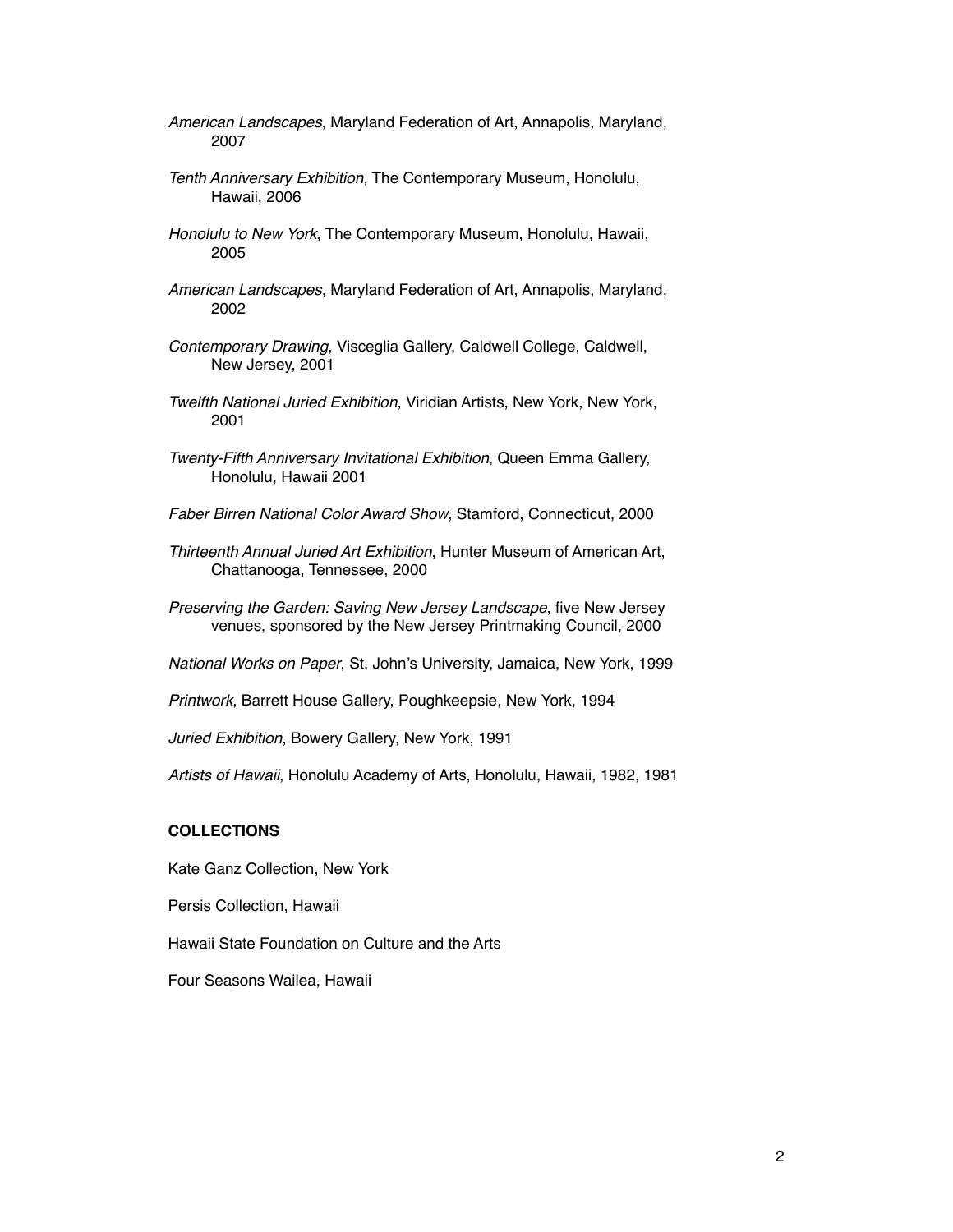- *American Landscapes*, Maryland Federation of Art, Annapolis, Maryland, 2007
- *Tenth Anniversary Exhibition*, The Contemporary Museum, Honolulu, Hawaii, 2006
- *Honolulu to New York*, The Contemporary Museum, Honolulu, Hawaii, 2005
- *American Landscapes*, Maryland Federation of Art, Annapolis, Maryland, 2002
- *Contemporary Drawing*, Visceglia Gallery, Caldwell College, Caldwell, New Jersey, 2001
- *Twelfth National Juried Exhibition*, Viridian Artists, New York, New York, 2001
- *Twenty-Fifth Anniversary Invitational Exhibition*, Queen Emma Gallery, Honolulu, Hawaii 2001
- *Faber Birren National Color Award Show*, Stamford, Connecticut, 2000
- *Thirteenth Annual Juried Art Exhibition*, Hunter Museum of American Art, Chattanooga, Tennessee, 2000
- *Preserving the Garden: Saving New Jersey Landscape*, five New Jersey venues, sponsored by the New Jersey Printmaking Council, 2000
- *National Works on Paper*, St. John's University, Jamaica, New York, 1999
- *Printwork*, Barrett House Gallery, Poughkeepsie, New York, 1994
- *Juried Exhibition*, Bowery Gallery, New York, 1991

*Artists of Hawaii*, Honolulu Academy of Arts, Honolulu, Hawaii, 1982, 1981

### **COLLECTIONS**

Kate Ganz Collection, New York

Persis Collection, Hawaii

Hawaii State Foundation on Culture and the Arts

Four Seasons Wailea, Hawaii